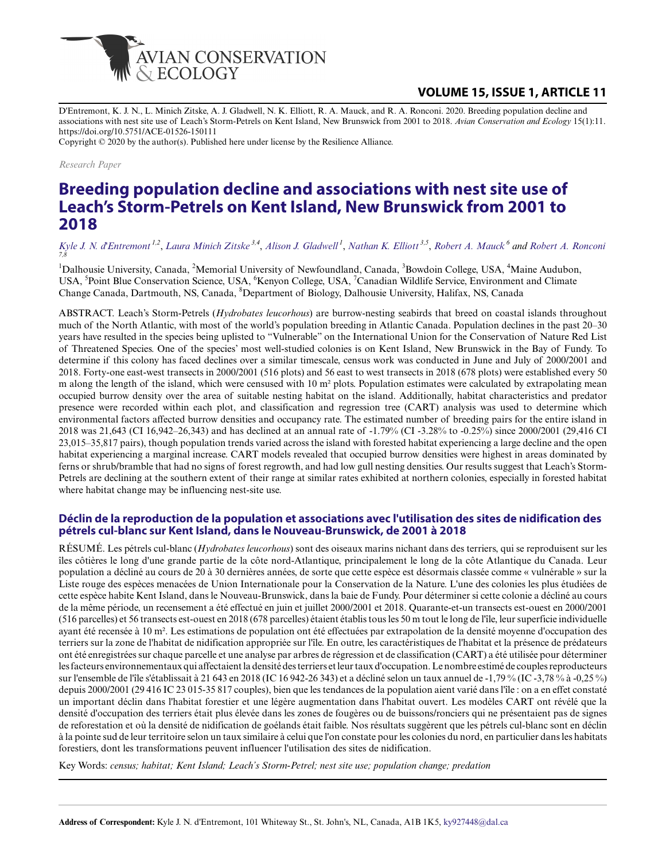

# **VOLUME 15, ISSUE 1, ARTICLE 11**

D'Entremont, K. J. N., L. Minich Zitske, A. J. Gladwell, N. K. Elliott, R. A. Mauck, and R. A. Ronconi. 2020. Breeding population decline and associations with nest site use of Leach's Storm-Petrels on Kent Island, New Brunswick from 2001 to 2018. *Avian Conservation and Ecology* 15(1):11. https://doi.org/10.5751/ACE-01526-150111

Copyright © 2020 by the author(s). Published here under license by the Resilience Alliance.

#### *Research Paper*

# **Breeding population decline and associations with nest site use of Leach's Storm-Petrels on Kent Island, New Brunswick from 2001 to 2018**

*[Kyle J. N. d'Entremont](mailto:ky927448@dal.ca) 1,2* , *[Laura Minich Zitske](mailto:lzitske@maineaudubon.org) 3,4* , *[Alison J. Gladwell](mailto:alij.gladwell@dal.ca)<sup>1</sup>* , *[Nathan K. Elliott](mailto:nelliott@pointblue.org) 3,5* , *[Robert A. Mauck](mailto:mauckr@kenyon.edu)<sup>6</sup> and [Robert A. Ronconi](mailto:robert.ronconi@canada.ca) 7,8*

<sup>1</sup>Dalhousie University, Canada, <sup>2</sup>Memorial University of Newfoundland, Canada, <sup>3</sup>Bowdoin College, USA, <sup>4</sup>Maine Audubon, USA, <sup>5</sup>Point Blue Conservation Science, USA, <sup>6</sup>Kenyon College, USA, <sup>7</sup>Canadian Wildlife Service, Environment and Climate Change Canada, Dartmouth, NS, Canada, <sup>8</sup>Department of Biology, Dalhousie University, Halifax, NS, Canada

ABSTRACT. Leach's Storm-Petrels (*Hydrobates leucorhous*) are burrow-nesting seabirds that breed on coastal islands throughout much of the North Atlantic, with most of the world's population breeding in Atlantic Canada. Population declines in the past 20–30 years have resulted in the species being uplisted to "Vulnerable" on the International Union for the Conservation of Nature Red List of Threatened Species. One of the species' most well-studied colonies is on Kent Island, New Brunswick in the Bay of Fundy. To determine if this colony has faced declines over a similar timescale, census work was conducted in June and July of 2000/2001 and 2018. Forty-one east-west transects in 2000/2001 (516 plots) and 56 east to west transects in 2018 (678 plots) were established every 50 m along the length of the island, which were censused with  $10 \text{ m}^2$  plots. Population estimates were calculated by extrapolating mean occupied burrow density over the area of suitable nesting habitat on the island. Additionally, habitat characteristics and predator presence were recorded within each plot, and classification and regression tree (CART) analysis was used to determine which environmental factors affected burrow densities and occupancy rate. The estimated number of breeding pairs for the entire island in 2018 was 21,643 (CI 16,942–26,343) and has declined at an annual rate of -1.79% (CI -3.28% to -0.25%) since 2000/2001 (29,416 CI 23,015–35,817 pairs), though population trends varied across the island with forested habitat experiencing a large decline and the open habitat experiencing a marginal increase. CART models revealed that occupied burrow densities were highest in areas dominated by ferns or shrub/bramble that had no signs of forest regrowth, and had low gull nesting densities. Our results suggest that Leach's Storm-Petrels are declining at the southern extent of their range at similar rates exhibited at northern colonies, especially in forested habitat where habitat change may be influencing nest-site use.

#### **Déclin de la reproduction de la population et associations avec l'utilisation des sites de nidification des pétrels cul-blanc sur Kent Island, dans le Nouveau-Brunswick, de 2001 à 2018**

RÉSUMÉ. Les pétrels cul-blanc (*Hydrobates leucorhous*) sont des oiseaux marins nichant dans des terriers, qui se reproduisent sur les îles côtières le long d'une grande partie de la côte nord-Atlantique, principalement le long de la côte Atlantique du Canada. Leur population a décliné au cours de 20 à 30 dernières années, de sorte que cette espèce est désormais classée comme « vulnérable » sur la Liste rouge des espèces menacées de Union Internationale pour la Conservation de la Nature. L'une des colonies les plus étudiées de cette espèce habite Kent Island, dans le Nouveau-Brunswick, dans la baie de Fundy. Pour déterminer si cette colonie a décliné au cours de la même période, un recensement a été effectué en juin et juillet 2000/2001 et 2018. Quarante-et-un transects est-ouest en 2000/2001 (516 parcelles) et 56 transects est-ouest en 2018 (678 parcelles) étaient établis tous les 50 m tout le long de l'île, leur superficie individuelle ayant été recensée à 10 m². Les estimations de population ont été effectuées par extrapolation de la densité moyenne d'occupation des terriers sur la zone de l'habitat de nidification appropriée sur l'île. En outre, les caractéristiques de l'habitat et la présence de prédateurs ont été enregistrées sur chaque parcelle et une analyse par arbres de régression et de classification (CART) a été utilisée pour déterminer les facteurs environnementaux qui affectaient la densité des terriers et leur taux d'occupation. Le nombre estimé de couples reproducteurs sur l'ensemble de l'île s'établissait à 21 643 en 2018 (IC 16 942-26 343) et a décliné selon un taux annuel de -1,79 % (IC -3,78 % à -0,25 %) depuis 2000/2001 (29 416 IC 23 015-35 817 couples), bien que les tendances de la population aient varié dans l'île : on a en effet constaté un important déclin dans l'habitat forestier et une légère augmentation dans l'habitat ouvert. Les modèles CART ont révélé que la densité d'occupation des terriers était plus élevée dans les zones de fougères ou de buissons/ronciers qui ne présentaient pas de signes de reforestation et où la densité de nidification de goélands était faible. Nos résultats suggèrent que les pétrels cul-blanc sont en déclin à la pointe sud de leur territoire selon un taux similaire à celui que l'on constate pour les colonies du nord, en particulier dans les habitats forestiers, dont les transformations peuvent influencer l'utilisation des sites de nidification.

Key Words: *census; habitat; Kent Island; Leach's Storm-Petrel; nest site use; population change; predation*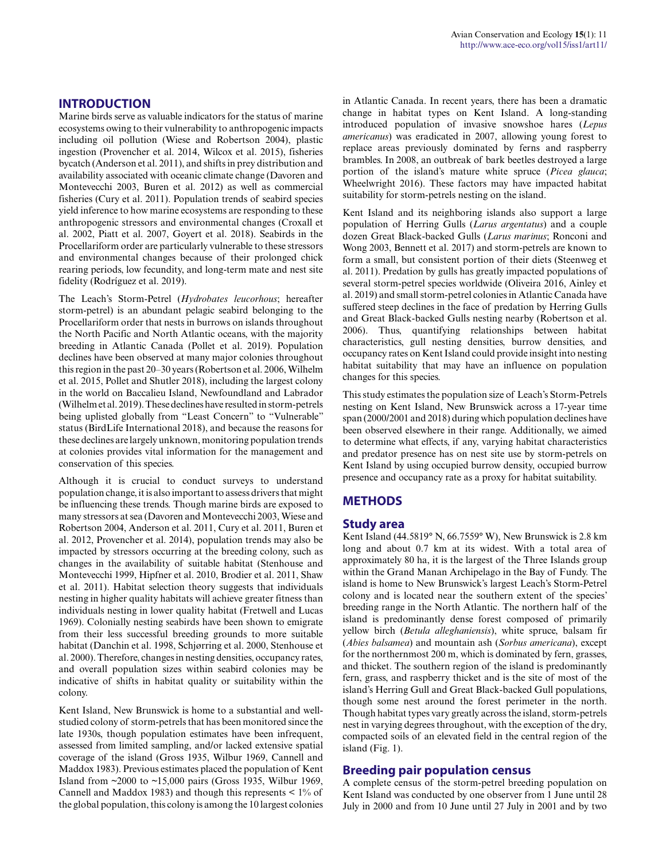### **INTRODUCTION**

Marine birds serve as valuable indicators for the status of marine ecosystems owing to their vulnerability to anthropogenic impacts including oil pollution (Wiese and Robertson 2004), plastic ingestion (Provencher et al. 2014, Wilcox et al. 2015), fisheries bycatch (Anderson et al. 2011), and shifts in prey distribution and availability associated with oceanic climate change (Davoren and Montevecchi 2003, Buren et al. 2012) as well as commercial fisheries (Cury et al. 2011). Population trends of seabird species yield inference to how marine ecosystems are responding to these anthropogenic stressors and environmental changes (Croxall et al. 2002, Piatt et al. 2007, Goyert et al. 2018). Seabirds in the Procellariform order are particularly vulnerable to these stressors and environmental changes because of their prolonged chick rearing periods, low fecundity, and long-term mate and nest site fidelity (Rodríguez et al. 2019).

The Leach's Storm-Petrel (*Hydrobates leucorhous*; hereafter storm-petrel) is an abundant pelagic seabird belonging to the Procellariform order that nests in burrows on islands throughout the North Pacific and North Atlantic oceans, with the majority breeding in Atlantic Canada (Pollet et al. 2019). Population declines have been observed at many major colonies throughout this region in the past 20–30 years (Robertson et al. 2006, Wilhelm et al. 2015, Pollet and Shutler 2018), including the largest colony in the world on Baccalieu Island, Newfoundland and Labrador (Wilhelm et al. 2019). These declines have resulted in storm-petrels being uplisted globally from "Least Concern" to "Vulnerable" status (BirdLife International 2018), and because the reasons for these declines are largely unknown, monitoring population trends at colonies provides vital information for the management and conservation of this species.

Although it is crucial to conduct surveys to understand population change, it is also important to assess drivers that might be influencing these trends. Though marine birds are exposed to many stressors at sea (Davoren and Montevecchi 2003, Wiese and Robertson 2004, Anderson et al. 2011, Cury et al. 2011, Buren et al. 2012, Provencher et al. 2014), population trends may also be impacted by stressors occurring at the breeding colony, such as changes in the availability of suitable habitat (Stenhouse and Montevecchi 1999, Hipfner et al. 2010, Brodier et al. 2011, Shaw et al. 2011). Habitat selection theory suggests that individuals nesting in higher quality habitats will achieve greater fitness than individuals nesting in lower quality habitat (Fretwell and Lucas 1969). Colonially nesting seabirds have been shown to emigrate from their less successful breeding grounds to more suitable habitat (Danchin et al. 1998, Schjørring et al. 2000, Stenhouse et al. 2000). Therefore, changes in nesting densities, occupancy rates, and overall population sizes within seabird colonies may be indicative of shifts in habitat quality or suitability within the colony.

Kent Island, New Brunswick is home to a substantial and wellstudied colony of storm-petrels that has been monitored since the late 1930s, though population estimates have been infrequent, assessed from limited sampling, and/or lacked extensive spatial coverage of the island (Gross 1935, Wilbur 1969, Cannell and Maddox 1983). Previous estimates placed the population of Kent Island from ~2000 to ~15,000 pairs (Gross 1935, Wilbur 1969, Cannell and Maddox 1983) and though this represents  $\leq 1\%$  of the global population, this colony is among the 10 largest colonies in Atlantic Canada. In recent years, there has been a dramatic change in habitat types on Kent Island. A long-standing introduced population of invasive snowshoe hares (*Lepus americanus*) was eradicated in 2007, allowing young forest to replace areas previously dominated by ferns and raspberry brambles. In 2008, an outbreak of bark beetles destroyed a large portion of the island's mature white spruce (*Picea glauca*; Wheelwright 2016). These factors may have impacted habitat suitability for storm-petrels nesting on the island.

Kent Island and its neighboring islands also support a large population of Herring Gulls (*Larus argentatus*) and a couple dozen Great Black-backed Gulls (*Larus marinus*; Ronconi and Wong 2003, Bennett et al. 2017) and storm-petrels are known to form a small, but consistent portion of their diets (Steenweg et al. 2011). Predation by gulls has greatly impacted populations of several storm-petrel species worldwide (Oliveira 2016, Ainley et al. 2019) and small storm-petrel colonies in Atlantic Canada have suffered steep declines in the face of predation by Herring Gulls and Great Black-backed Gulls nesting nearby (Robertson et al. 2006). Thus, quantifying relationships between habitat characteristics, gull nesting densities, burrow densities, and occupancy rates on Kent Island could provide insight into nesting habitat suitability that may have an influence on population changes for this species.

This study estimates the population size of Leach's Storm-Petrels nesting on Kent Island, New Brunswick across a 17-year time span (2000/2001 and 2018) during which population declines have been observed elsewhere in their range. Additionally, we aimed to determine what effects, if any, varying habitat characteristics and predator presence has on nest site use by storm-petrels on Kent Island by using occupied burrow density, occupied burrow presence and occupancy rate as a proxy for habitat suitability.

# **METHODS**

#### **Study area**

Kent Island (44.5819° N, 66.7559° W), New Brunswick is 2.8 km long and about 0.7 km at its widest. With a total area of approximately 80 ha, it is the largest of the Three Islands group within the Grand Manan Archipelago in the Bay of Fundy. The island is home to New Brunswick's largest Leach's Storm-Petrel colony and is located near the southern extent of the species' breeding range in the North Atlantic. The northern half of the island is predominantly dense forest composed of primarily yellow birch (*Betula alleghaniensis*), white spruce, balsam fir (*Abies balsamea*) and mountain ash (*Sorbus americana*), except for the northernmost 200 m, which is dominated by fern, grasses, and thicket. The southern region of the island is predominantly fern, grass, and raspberry thicket and is the site of most of the island's Herring Gull and Great Black-backed Gull populations, though some nest around the forest perimeter in the north. Though habitat types vary greatly across the island, storm-petrels nest in varying degrees throughout, with the exception of the dry, compacted soils of an elevated field in the central region of the island (Fig. 1).

#### **Breeding pair population census**

A complete census of the storm-petrel breeding population on Kent Island was conducted by one observer from 1 June until 28 July in 2000 and from 10 June until 27 July in 2001 and by two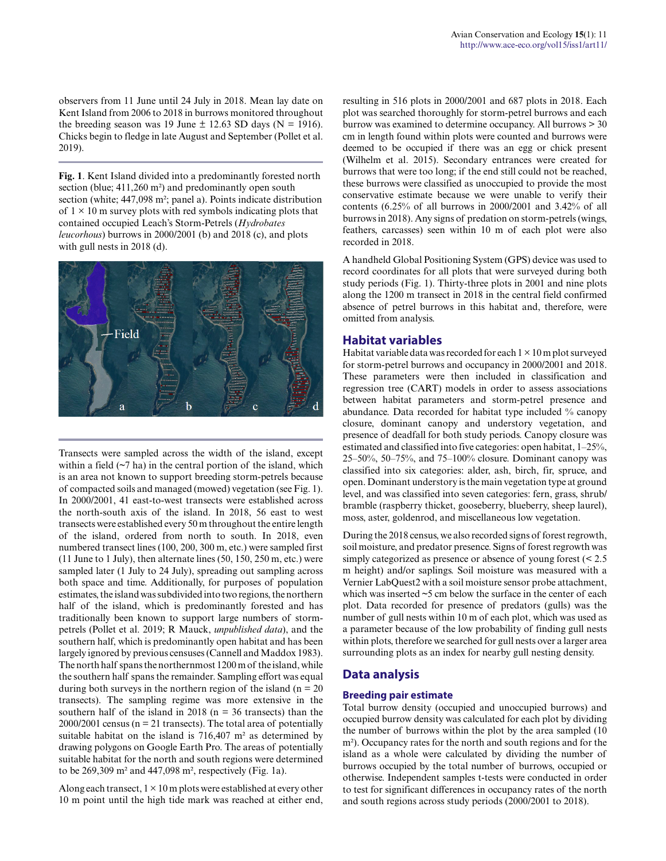observers from 11 June until 24 July in 2018. Mean lay date on Kent Island from 2006 to 2018 in burrows monitored throughout the breeding season was 19 June  $\pm$  12.63 SD days (N = 1916). Chicks begin to fledge in late August and September (Pollet et al. 2019).

**Fig. 1**. Kent Island divided into a predominantly forested north section (blue; 411,260 m²) and predominantly open south section (white; 447,098 m²; panel a). Points indicate distribution of  $1 \times 10$  m survey plots with red symbols indicating plots that contained occupied Leach's Storm-Petrels (*Hydrobates leucorhous*) burrows in 2000/2001 (b) and 2018 (c), and plots with gull nests in 2018 (d).



Transects were sampled across the width of the island, except within a field  $(\sim)$  ha) in the central portion of the island, which is an area not known to support breeding storm-petrels because of compacted soils and managed (mowed) vegetation (see Fig. 1). In 2000/2001, 41 east-to-west transects were established across the north-south axis of the island. In 2018, 56 east to west transects were established every 50 m throughout the entire length of the island, ordered from north to south. In 2018, even numbered transect lines (100, 200, 300 m, etc.) were sampled first (11 June to 1 July), then alternate lines (50, 150, 250 m, etc.) were sampled later (1 July to 24 July), spreading out sampling across both space and time. Additionally, for purposes of population estimates, the island was subdivided into two regions, the northern half of the island, which is predominantly forested and has traditionally been known to support large numbers of stormpetrels (Pollet et al. 2019; R Mauck, *unpublished data*), and the southern half, which is predominantly open habitat and has been largely ignored by previous censuses (Cannell and Maddox 1983). The north half spans the northernmost 1200 m of the island, while the southern half spans the remainder. Sampling effort was equal during both surveys in the northern region of the island ( $n = 20$ ) transects). The sampling regime was more extensive in the southern half of the island in 2018 ( $n = 36$  transects) than the  $2000/2001$  census (n = 21 transects). The total area of potentially suitable habitat on the island is 716,407 m² as determined by drawing polygons on Google Earth Pro. The areas of potentially suitable habitat for the north and south regions were determined to be 269,309 m² and 447,098 m², respectively (Fig. 1a).

Along each transect,  $1 \times 10$  m plots were established at every other 10 m point until the high tide mark was reached at either end, resulting in 516 plots in 2000/2001 and 687 plots in 2018. Each plot was searched thoroughly for storm-petrel burrows and each burrow was examined to determine occupancy. All burrows > 30 cm in length found within plots were counted and burrows were deemed to be occupied if there was an egg or chick present (Wilhelm et al. 2015). Secondary entrances were created for burrows that were too long; if the end still could not be reached, these burrows were classified as unoccupied to provide the most conservative estimate because we were unable to verify their contents (6.25% of all burrows in 2000/2001 and 3.42% of all burrows in 2018). Any signs of predation on storm-petrels (wings, feathers, carcasses) seen within 10 m of each plot were also recorded in 2018.

A handheld Global Positioning System (GPS) device was used to record coordinates for all plots that were surveyed during both study periods (Fig. 1). Thirty-three plots in 2001 and nine plots along the 1200 m transect in 2018 in the central field confirmed absence of petrel burrows in this habitat and, therefore, were omitted from analysis.

### **Habitat variables**

Habitat variable data was recorded for each 1 × 10 m plot surveyed for storm-petrel burrows and occupancy in 2000/2001 and 2018. These parameters were then included in classification and regression tree (CART) models in order to assess associations between habitat parameters and storm-petrel presence and abundance. Data recorded for habitat type included % canopy closure, dominant canopy and understory vegetation, and presence of deadfall for both study periods. Canopy closure was estimated and classified into five categories: open habitat, 1–25%, 25–50%, 50–75%, and 75–100% closure. Dominant canopy was classified into six categories: alder, ash, birch, fir, spruce, and open. Dominant understory is the main vegetation type at ground level, and was classified into seven categories: fern, grass, shrub/ bramble (raspberry thicket, gooseberry, blueberry, sheep laurel), moss, aster, goldenrod, and miscellaneous low vegetation.

During the 2018 census, we also recorded signs of forest regrowth, soil moisture, and predator presence. Signs of forest regrowth was simply categorized as presence or absence of young forest (< 2.5 m height) and/or saplings. Soil moisture was measured with a Vernier LabQuest2 with a soil moisture sensor probe attachment, which was inserted ~5 cm below the surface in the center of each plot. Data recorded for presence of predators (gulls) was the number of gull nests within 10 m of each plot, which was used as a parameter because of the low probability of finding gull nests within plots, therefore we searched for gull nests over a larger area surrounding plots as an index for nearby gull nesting density.

# **Data analysis**

#### **Breeding pair estimate**

Total burrow density (occupied and unoccupied burrows) and occupied burrow density was calculated for each plot by dividing the number of burrows within the plot by the area sampled (10 m²). Occupancy rates for the north and south regions and for the island as a whole were calculated by dividing the number of burrows occupied by the total number of burrows, occupied or otherwise. Independent samples t-tests were conducted in order to test for significant differences in occupancy rates of the north and south regions across study periods (2000/2001 to 2018).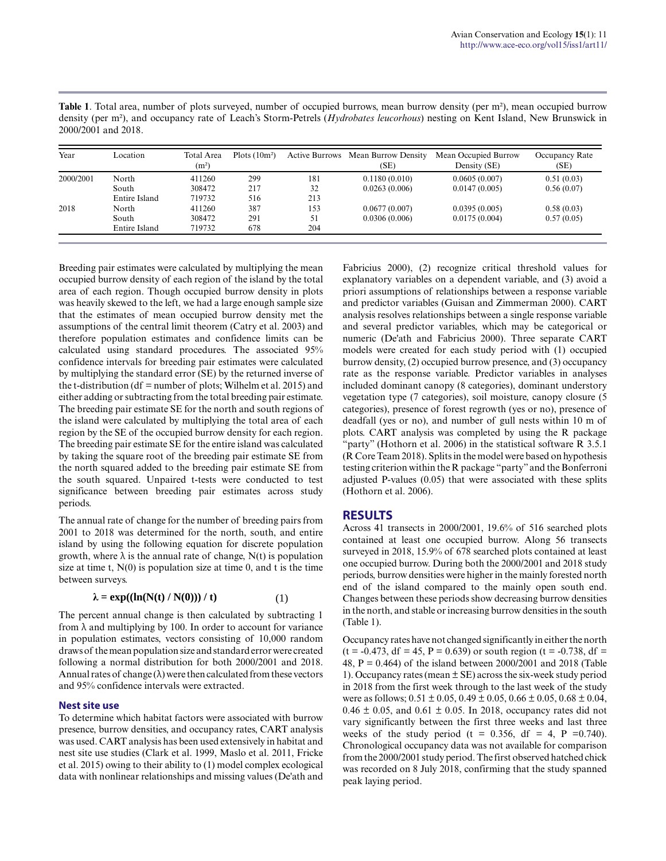| Year      | Location      | <b>Total Area</b><br>(m <sup>2</sup> ) | Plots $(10m^2)$ |     | Active Burrows Mean Burrow Density<br>(SE) | Mean Occupied Burrow<br>Density (SE) | Occupancy Rate<br>(SE) |
|-----------|---------------|----------------------------------------|-----------------|-----|--------------------------------------------|--------------------------------------|------------------------|
| 2000/2001 | North         | 411260                                 | 299             | 181 | 0.1180(0.010)                              | 0.0605(0.007)                        | 0.51(0.03)             |
|           | South         | 308472                                 | 217             | 32  | 0.0263(0.006)                              | 0.0147(0.005)                        | 0.56(0.07)             |
|           | Entire Island | 719732                                 | 516             | 213 |                                            |                                      |                        |
| 2018      | North         | 411260                                 | 387             | 153 | 0.0677(0.007)                              | 0.0395(0.005)                        | 0.58(0.03)             |
|           | South         | 308472                                 | 291             | 51  | 0.0306(0.006)                              | 0.0175(0.004)                        | 0.57(0.05)             |
|           | Entire Island | 719732                                 | 678             | 204 |                                            |                                      |                        |

**Table 1**. Total area, number of plots surveyed, number of occupied burrows, mean burrow density (per m²), mean occupied burrow density (per m²), and occupancy rate of Leach's Storm-Petrels (*Hydrobates leucorhous*) nesting on Kent Island, New Brunswick in 2000/2001 and 2018.

Breeding pair estimates were calculated by multiplying the mean occupied burrow density of each region of the island by the total area of each region. Though occupied burrow density in plots was heavily skewed to the left, we had a large enough sample size that the estimates of mean occupied burrow density met the assumptions of the central limit theorem (Catry et al. 2003) and therefore population estimates and confidence limits can be calculated using standard procedures. The associated 95% confidence intervals for breeding pair estimates were calculated by multiplying the standard error (SE) by the returned inverse of the t-distribution (df = number of plots; Wilhelm et al. 2015) and either adding or subtracting from the total breeding pair estimate. The breeding pair estimate SE for the north and south regions of the island were calculated by multiplying the total area of each region by the SE of the occupied burrow density for each region. The breeding pair estimate SE for the entire island was calculated by taking the square root of the breeding pair estimate SE from the north squared added to the breeding pair estimate SE from the south squared. Unpaired t-tests were conducted to test significance between breeding pair estimates across study periods.

The annual rate of change for the number of breeding pairs from 2001 to 2018 was determined for the north, south, and entire island by using the following equation for discrete population growth, where  $\lambda$  is the annual rate of change, N(t) is population size at time t,  $N(0)$  is population size at time 0, and t is the time between surveys.

$$
\lambda = \exp((\ln(N(t) / N(0)))) / t)
$$
 (1)

The percent annual change is then calculated by subtracting 1 from  $\lambda$  and multiplying by 100. In order to account for variance in population estimates, vectors consisting of 10,000 random draws of the mean population size and standard error were created following a normal distribution for both 2000/2001 and 2018. Annual rates of change  $(\lambda)$  were then calculated from these vectors and 95% confidence intervals were extracted.

#### **Nest site use**

To determine which habitat factors were associated with burrow presence, burrow densities, and occupancy rates, CART analysis was used. CART analysis has been used extensively in habitat and nest site use studies (Clark et al. 1999, Maslo et al. 2011, Fricke et al. 2015) owing to their ability to (1) model complex ecological data with nonlinear relationships and missing values (De'ath and Fabricius 2000), (2) recognize critical threshold values for explanatory variables on a dependent variable, and (3) avoid a priori assumptions of relationships between a response variable and predictor variables (Guisan and Zimmerman 2000). CART analysis resolves relationships between a single response variable and several predictor variables, which may be categorical or numeric (De'ath and Fabricius 2000). Three separate CART models were created for each study period with (1) occupied burrow density, (2) occupied burrow presence, and (3) occupancy rate as the response variable. Predictor variables in analyses included dominant canopy (8 categories), dominant understory vegetation type (7 categories), soil moisture, canopy closure (5 categories), presence of forest regrowth (yes or no), presence of deadfall (yes or no), and number of gull nests within 10 m of plots. CART analysis was completed by using the R package "party" (Hothorn et al. 2006) in the statistical software R 3.5.1 (R Core Team 2018). Splits in the model were based on hypothesis testing criterion within the R package "party" and the Bonferroni adjusted P-values (0.05) that were associated with these splits (Hothorn et al. 2006).

#### **RESULTS**

Across 41 transects in 2000/2001, 19.6% of 516 searched plots contained at least one occupied burrow. Along 56 transects surveyed in 2018, 15.9% of 678 searched plots contained at least one occupied burrow. During both the 2000/2001 and 2018 study periods, burrow densities were higher in the mainly forested north end of the island compared to the mainly open south end. Changes between these periods show decreasing burrow densities in the north, and stable or increasing burrow densities in the south (Table 1).

Occupancy rates have not changed significantly in either the north  $(t = -0.473, df = 45, P = 0.639)$  or south region  $(t = -0.738, df = 0.639)$ 48, P = 0.464) of the island between 2000/2001 and 2018 (Table 1). Occupancy rates (mean ± SE) across the six-week study period in 2018 from the first week through to the last week of the study were as follows;  $0.51 \pm 0.05$ ,  $0.49 \pm 0.05$ ,  $0.66 \pm 0.05$ ,  $0.68 \pm 0.04$ ,  $0.46 \pm 0.05$ , and  $0.61 \pm 0.05$ . In 2018, occupancy rates did not vary significantly between the first three weeks and last three weeks of the study period (t = 0.356, df = 4, P = 0.740). Chronological occupancy data was not available for comparison from the 2000/2001 study period. The first observed hatched chick was recorded on 8 July 2018, confirming that the study spanned peak laying period.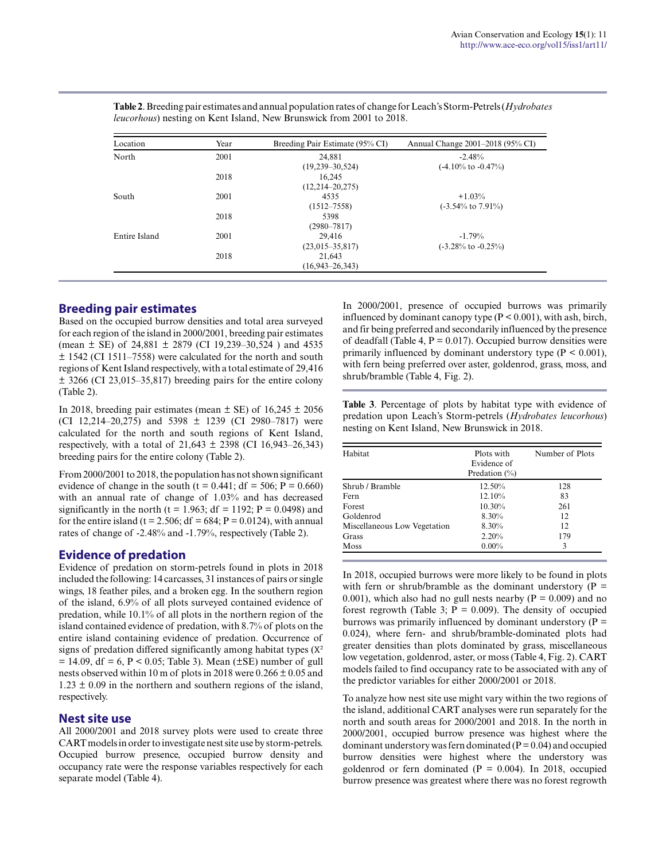| Location      | Year | Breeding Pair Estimate (95% CI) | Annual Change 2001–2018 (95% CI) |
|---------------|------|---------------------------------|----------------------------------|
| North         | 2001 | 24.881                          | $-2.48%$                         |
|               |      | $(19,239-30,524)$               | $(-4.10\% \text{ to } -0.47\%)$  |
|               | 2018 | 16,245                          |                                  |
|               |      | $(12,214-20,275)$               |                                  |
| South         | 2001 | 4535                            | $+1.03%$                         |
|               |      | $(1512 - 7558)$                 | $(-3.54\% \text{ to } 7.91\%)$   |
|               | 2018 | 5398                            |                                  |
|               |      | $(2980 - 7817)$                 |                                  |
| Entire Island | 2001 | 29.416                          | $-1.79%$                         |
|               |      | $(23,015-35,817)$               | $(-3.28\% \text{ to } -0.25\%)$  |
|               | 2018 | 21,643                          |                                  |
|               |      | $(16.943 - 26.343)$             |                                  |

**Table 2**. Breeding pair estimates and annual population rates of change for Leach's Storm-Petrels (*Hydrobates leucorhous*) nesting on Kent Island, New Brunswick from 2001 to 2018.

### **Breeding pair estimates**

Based on the occupied burrow densities and total area surveyed for each region of the island in 2000/2001, breeding pair estimates (mean ± SE) of 24,881 ± 2879 (CI 19,239–30,524 ) and 4535 ± 1542 (CI 1511–7558) were calculated for the north and south regions of Kent Island respectively, with a total estimate of 29,416 ± 3266 (CI 23,015–35,817) breeding pairs for the entire colony (Table 2).

In 2018, breeding pair estimates (mean  $\pm$  SE) of 16,245  $\pm$  2056 (CI 12,214–20,275) and 5398  $\pm$  1239 (CI 2980–7817) were calculated for the north and south regions of Kent Island, respectively, with a total of  $21,643 \pm 2398$  (CI 16,943–26,343) breeding pairs for the entire colony (Table 2).

From 2000/2001 to 2018, the population has not shown significant evidence of change in the south ( $t = 0.441$ ; df = 506; P = 0.660) with an annual rate of change of 1.03% and has decreased significantly in the north ( $t = 1.963$ ; df = 1192; P = 0.0498) and for the entire island (t = 2.506; df = 684; P = 0.0124), with annual rates of change of -2.48% and -1.79%, respectively (Table 2).

## **Evidence of predation**

Evidence of predation on storm-petrels found in plots in 2018 included the following: 14 carcasses, 31 instances of pairs or single wings, 18 feather piles, and a broken egg. In the southern region of the island, 6.9% of all plots surveyed contained evidence of predation, while 10.1% of all plots in the northern region of the island contained evidence of predation, with 8.7% of plots on the entire island containing evidence of predation. Occurrence of signs of predation differed significantly among habitat types (Χ²  $= 14.09$ , df = 6, P < 0.05; Table 3). Mean ( $\pm$ SE) number of gull nests observed within 10 m of plots in 2018 were 0.266 ± 0.05 and  $1.23 \pm 0.09$  in the northern and southern regions of the island, respectively.

#### **Nest site use**

All 2000/2001 and 2018 survey plots were used to create three CART models in order to investigate nest site use by storm-petrels. Occupied burrow presence, occupied burrow density and occupancy rate were the response variables respectively for each separate model (Table 4).

In 2000/2001, presence of occupied burrows was primarily influenced by dominant canopy type  $(P < 0.001)$ , with ash, birch, and fir being preferred and secondarily influenced by the presence of deadfall (Table 4,  $P = 0.017$ ). Occupied burrow densities were primarily influenced by dominant understory type  $(P < 0.001)$ , with fern being preferred over aster, goldenrod, grass, moss, and shrub/bramble (Table 4, Fig. 2).

**Table 3**. Percentage of plots by habitat type with evidence of predation upon Leach's Storm-petrels (*Hydrobates leucorhous*) nesting on Kent Island, New Brunswick in 2018.

| Habitat                      | Plots with<br>Evidence of<br>Predation $(\%)$ | Number of Plots |
|------------------------------|-----------------------------------------------|-----------------|
| Shrub / Bramble              | 12.50%                                        | 128             |
| Fern                         | 12.10%                                        | 83              |
| Forest                       | 10.30%                                        | 261             |
| Goldenrod                    | $8.30\%$                                      | 12              |
| Miscellaneous Low Vegetation | $8.30\%$                                      | 12              |
| Grass                        | 2.20%                                         | 179             |
| Moss                         | $0.00\%$                                      | 3               |

In 2018, occupied burrows were more likely to be found in plots with fern or shrub/bramble as the dominant understory ( $P =$ 0.001), which also had no gull nests nearby ( $P = 0.009$ ) and no forest regrowth (Table 3;  $P = 0.009$ ). The density of occupied burrows was primarily influenced by dominant understory ( $P =$ 0.024), where fern- and shrub/bramble-dominated plots had greater densities than plots dominated by grass, miscellaneous low vegetation, goldenrod, aster, or moss (Table 4, Fig. 2). CART models failed to find occupancy rate to be associated with any of the predictor variables for either 2000/2001 or 2018.

To analyze how nest site use might vary within the two regions of the island, additional CART analyses were run separately for the north and south areas for 2000/2001 and 2018. In the north in 2000/2001, occupied burrow presence was highest where the dominant understory was fern dominated ( $P = 0.04$ ) and occupied burrow densities were highest where the understory was goldenrod or fern dominated ( $P = 0.004$ ). In 2018, occupied burrow presence was greatest where there was no forest regrowth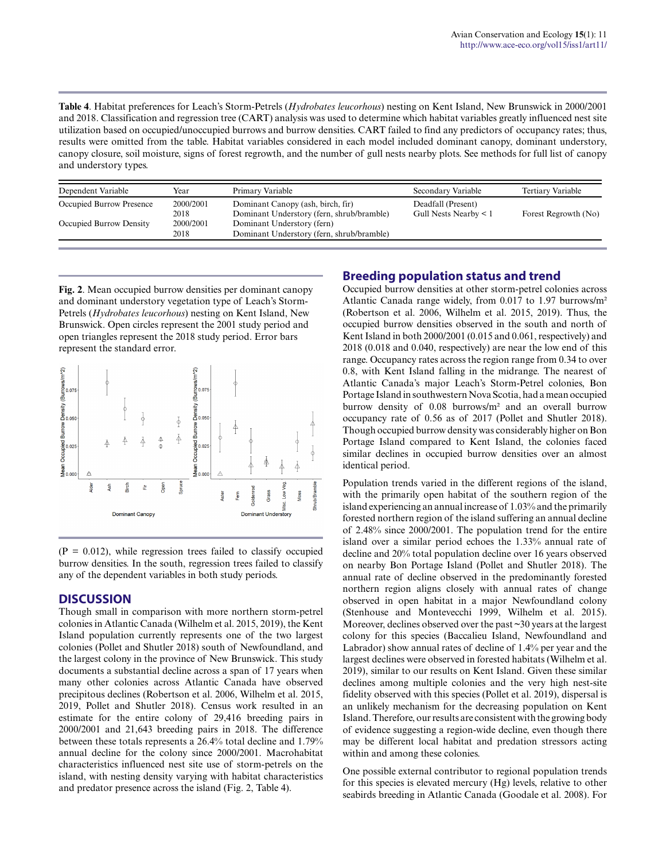**Table 4**. Habitat preferences for Leach's Storm-Petrels (*Hydrobates leucorhous*) nesting on Kent Island, New Brunswick in 2000/2001 and 2018. Classification and regression tree (CART) analysis was used to determine which habitat variables greatly influenced nest site utilization based on occupied/unoccupied burrows and burrow densities. CART failed to find any predictors of occupancy rates; thus, results were omitted from the table. Habitat variables considered in each model included dominant canopy, dominant understory, canopy closure, soil moisture, signs of forest regrowth, and the number of gull nests nearby plots. See methods for full list of canopy and understory types.

| Dependent Variable       | Year              | Primary Variable                                                               | Secondary Variable                          | Tertiary Variable    |
|--------------------------|-------------------|--------------------------------------------------------------------------------|---------------------------------------------|----------------------|
| Occupied Burrow Presence | 2000/2001<br>2018 | Dominant Canopy (ash, birch, fir)<br>Dominant Understory (fern, shrub/bramble) | Deadfall (Present)<br>Gull Nests Nearby < 1 | Forest Regrowth (No) |
| Occupied Burrow Density  | 2000/2001<br>2018 | Dominant Understory (fern)<br>Dominant Understory (fern, shrub/bramble)        |                                             |                      |

**Fig. 2**. Mean occupied burrow densities per dominant canopy and dominant understory vegetation type of Leach's Storm-Petrels (*Hydrobates leucorhous*) nesting on Kent Island, New Brunswick. Open circles represent the 2001 study period and open triangles represent the 2018 study period. Error bars represent the standard error.



 $(P = 0.012)$ , while regression trees failed to classify occupied burrow densities. In the south, regression trees failed to classify any of the dependent variables in both study periods.

## **DISCUSSION**

Though small in comparison with more northern storm-petrel colonies in Atlantic Canada (Wilhelm et al. 2015, 2019), the Kent Island population currently represents one of the two largest colonies (Pollet and Shutler 2018) south of Newfoundland, and the largest colony in the province of New Brunswick. This study documents a substantial decline across a span of 17 years when many other colonies across Atlantic Canada have observed precipitous declines (Robertson et al. 2006, Wilhelm et al. 2015, 2019, Pollet and Shutler 2018). Census work resulted in an estimate for the entire colony of 29,416 breeding pairs in 2000/2001 and 21,643 breeding pairs in 2018. The difference between these totals represents a 26.4% total decline and 1.79% annual decline for the colony since 2000/2001. Macrohabitat characteristics influenced nest site use of storm-petrels on the island, with nesting density varying with habitat characteristics and predator presence across the island (Fig. 2, Table 4).

# **Breeding population status and trend**

Occupied burrow densities at other storm-petrel colonies across Atlantic Canada range widely, from 0.017 to 1.97 burrows/m² (Robertson et al. 2006, Wilhelm et al. 2015, 2019). Thus, the occupied burrow densities observed in the south and north of Kent Island in both 2000/2001 (0.015 and 0.061, respectively) and 2018 (0.018 and 0.040, respectively) are near the low end of this range. Occupancy rates across the region range from 0.34 to over 0.8, with Kent Island falling in the midrange. The nearest of Atlantic Canada's major Leach's Storm-Petrel colonies, Bon Portage Island in southwestern Nova Scotia, had a mean occupied burrow density of 0.08 burrows/m² and an overall burrow occupancy rate of 0.56 as of 2017 (Pollet and Shutler 2018). Though occupied burrow density was considerably higher on Bon Portage Island compared to Kent Island, the colonies faced similar declines in occupied burrow densities over an almost identical period.

Population trends varied in the different regions of the island, with the primarily open habitat of the southern region of the island experiencing an annual increase of 1.03% and the primarily forested northern region of the island suffering an annual decline of 2.48% since 2000/2001. The population trend for the entire island over a similar period echoes the 1.33% annual rate of decline and 20% total population decline over 16 years observed on nearby Bon Portage Island (Pollet and Shutler 2018). The annual rate of decline observed in the predominantly forested northern region aligns closely with annual rates of change observed in open habitat in a major Newfoundland colony (Stenhouse and Montevecchi 1999, Wilhelm et al. 2015). Moreover, declines observed over the past ~30 years at the largest colony for this species (Baccalieu Island, Newfoundland and Labrador) show annual rates of decline of 1.4% per year and the largest declines were observed in forested habitats (Wilhelm et al. 2019), similar to our results on Kent Island. Given these similar declines among multiple colonies and the very high nest-site fidelity observed with this species (Pollet et al. 2019), dispersal is an unlikely mechanism for the decreasing population on Kent Island. Therefore, our results are consistent with the growing body of evidence suggesting a region-wide decline, even though there may be different local habitat and predation stressors acting within and among these colonies.

One possible external contributor to regional population trends for this species is elevated mercury (Hg) levels, relative to other seabirds breeding in Atlantic Canada (Goodale et al. 2008). For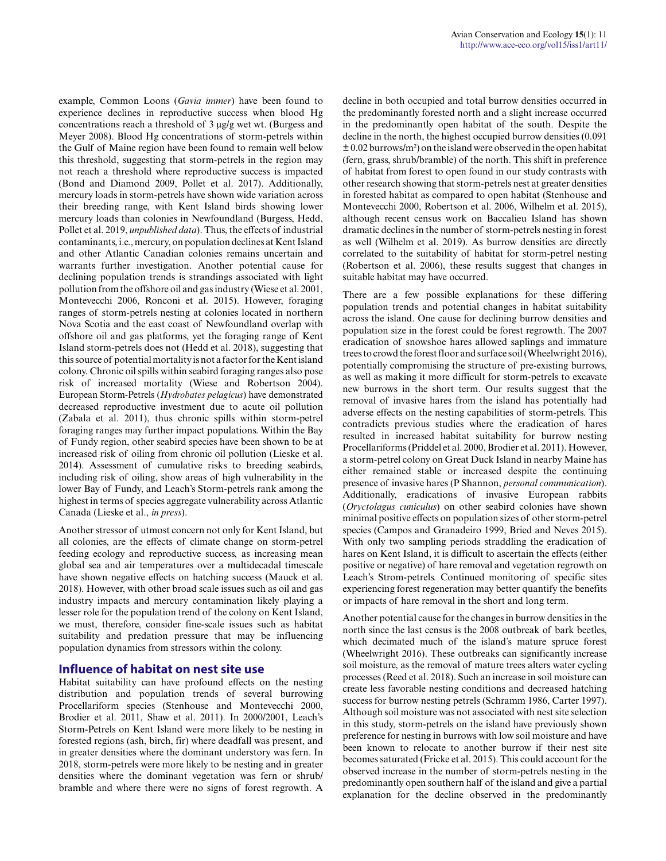example, Common Loons (*Gavia immer*) have been found to experience declines in reproductive success when blood Hg concentrations reach a threshold of 3 μg/g wet wt. (Burgess and Meyer 2008). Blood Hg concentrations of storm-petrels within the Gulf of Maine region have been found to remain well below this threshold, suggesting that storm-petrels in the region may not reach a threshold where reproductive success is impacted (Bond and Diamond 2009, Pollet et al. 2017). Additionally, mercury loads in storm-petrels have shown wide variation across their breeding range, with Kent Island birds showing lower mercury loads than colonies in Newfoundland (Burgess, Hedd, Pollet et al. 2019, *unpublished data*). Thus, the effects of industrial contaminants, i.e., mercury, on population declines at Kent Island and other Atlantic Canadian colonies remains uncertain and warrants further investigation. Another potential cause for declining population trends is strandings associated with light pollution from the offshore oil and gas industry (Wiese et al. 2001, Montevecchi 2006, Ronconi et al. 2015). However, foraging ranges of storm-petrels nesting at colonies located in northern Nova Scotia and the east coast of Newfoundland overlap with offshore oil and gas platforms, yet the foraging range of Kent Island storm-petrels does not (Hedd et al. 2018), suggesting that this source of potential mortality is not a factor for the Kent island colony. Chronic oil spills within seabird foraging ranges also pose risk of increased mortality (Wiese and Robertson 2004). European Storm-Petrels (*Hydrobates pelagicus*) have demonstrated decreased reproductive investment due to acute oil pollution (Zabala et al. 2011), thus chronic spills within storm-petrel foraging ranges may further impact populations. Within the Bay of Fundy region, other seabird species have been shown to be at increased risk of oiling from chronic oil pollution (Lieske et al. 2014). Assessment of cumulative risks to breeding seabirds, including risk of oiling, show areas of high vulnerability in the lower Bay of Fundy, and Leach's Storm-petrels rank among the highest in terms of species aggregate vulnerability across Atlantic Canada (Lieske et al., *in press*).

Another stressor of utmost concern not only for Kent Island, but all colonies, are the effects of climate change on storm-petrel feeding ecology and reproductive success, as increasing mean global sea and air temperatures over a multidecadal timescale have shown negative effects on hatching success (Mauck et al. 2018). However, with other broad scale issues such as oil and gas industry impacts and mercury contamination likely playing a lesser role for the population trend of the colony on Kent Island, we must, therefore, consider fine-scale issues such as habitat suitability and predation pressure that may be influencing population dynamics from stressors within the colony.

#### **Influence of habitat on nest site use**

Habitat suitability can have profound effects on the nesting distribution and population trends of several burrowing Procellariform species (Stenhouse and Montevecchi 2000, Brodier et al. 2011, Shaw et al. 2011). In 2000/2001, Leach's Storm-Petrels on Kent Island were more likely to be nesting in forested regions (ash, birch, fir) where deadfall was present, and in greater densities where the dominant understory was fern. In 2018, storm-petrels were more likely to be nesting and in greater densities where the dominant vegetation was fern or shrub/ bramble and where there were no signs of forest regrowth. A decline in both occupied and total burrow densities occurred in the predominantly forested north and a slight increase occurred in the predominantly open habitat of the south. Despite the decline in the north, the highest occupied burrow densities (0.091  $\pm$  0.02 burrows/m<sup>2</sup>) on the island were observed in the open habitat (fern, grass, shrub/bramble) of the north. This shift in preference of habitat from forest to open found in our study contrasts with other research showing that storm-petrels nest at greater densities in forested habitat as compared to open habitat (Stenhouse and Montevecchi 2000, Robertson et al. 2006, Wilhelm et al. 2015), although recent census work on Baccalieu Island has shown dramatic declines in the number of storm-petrels nesting in forest as well (Wilhelm et al. 2019). As burrow densities are directly correlated to the suitability of habitat for storm-petrel nesting (Robertson et al. 2006), these results suggest that changes in suitable habitat may have occurred.

There are a few possible explanations for these differing population trends and potential changes in habitat suitability across the island. One cause for declining burrow densities and population size in the forest could be forest regrowth. The 2007 eradication of snowshoe hares allowed saplings and immature trees to crowd the forest floor and surface soil (Wheelwright 2016), potentially compromising the structure of pre-existing burrows, as well as making it more difficult for storm-petrels to excavate new burrows in the short term. Our results suggest that the removal of invasive hares from the island has potentially had adverse effects on the nesting capabilities of storm-petrels. This contradicts previous studies where the eradication of hares resulted in increased habitat suitability for burrow nesting Procellariforms (Priddel et al. 2000, Brodier et al. 2011). However, a storm-petrel colony on Great Duck Island in nearby Maine has either remained stable or increased despite the continuing presence of invasive hares (P Shannon, *personal communication*). Additionally, eradications of invasive European rabbits (*Oryctolagus cuniculus*) on other seabird colonies have shown minimal positive effects on population sizes of other storm-petrel species (Campos and Granadeiro 1999, Bried and Neves 2015). With only two sampling periods straddling the eradication of hares on Kent Island, it is difficult to ascertain the effects (either positive or negative) of hare removal and vegetation regrowth on Leach's Strom-petrels. Continued monitoring of specific sites experiencing forest regeneration may better quantify the benefits or impacts of hare removal in the short and long term.

Another potential cause for the changes in burrow densities in the north since the last census is the 2008 outbreak of bark beetles, which decimated much of the island's mature spruce forest (Wheelwright 2016). These outbreaks can significantly increase soil moisture, as the removal of mature trees alters water cycling processes (Reed et al. 2018). Such an increase in soil moisture can create less favorable nesting conditions and decreased hatching success for burrow nesting petrels (Schramm 1986, Carter 1997). Although soil moisture was not associated with nest site selection in this study, storm-petrels on the island have previously shown preference for nesting in burrows with low soil moisture and have been known to relocate to another burrow if their nest site becomes saturated (Fricke et al. 2015). This could account for the observed increase in the number of storm-petrels nesting in the predominantly open southern half of the island and give a partial explanation for the decline observed in the predominantly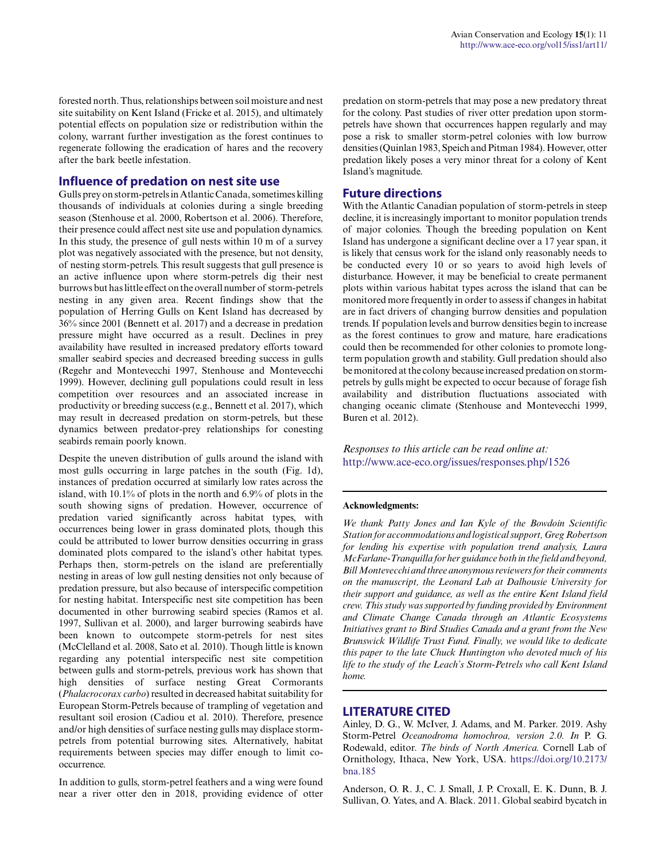forested north. Thus, relationships between soil moisture and nest site suitability on Kent Island (Fricke et al. 2015), and ultimately potential effects on population size or redistribution within the colony, warrant further investigation as the forest continues to regenerate following the eradication of hares and the recovery after the bark beetle infestation.

#### **Influence of predation on nest site use**

Gulls prey on storm-petrels in Atlantic Canada, sometimes killing thousands of individuals at colonies during a single breeding season (Stenhouse et al. 2000, Robertson et al. 2006). Therefore, their presence could affect nest site use and population dynamics. In this study, the presence of gull nests within 10 m of a survey plot was negatively associated with the presence, but not density, of nesting storm-petrels. This result suggests that gull presence is an active influence upon where storm-petrels dig their nest burrows but has little effect on the overall number of storm-petrels nesting in any given area. Recent findings show that the population of Herring Gulls on Kent Island has decreased by 36% since 2001 (Bennett et al. 2017) and a decrease in predation pressure might have occurred as a result. Declines in prey availability have resulted in increased predatory efforts toward smaller seabird species and decreased breeding success in gulls (Regehr and Montevecchi 1997, Stenhouse and Montevecchi 1999). However, declining gull populations could result in less competition over resources and an associated increase in productivity or breeding success (e.g., Bennett et al. 2017), which may result in decreased predation on storm-petrels, but these dynamics between predator-prey relationships for conesting seabirds remain poorly known.

Despite the uneven distribution of gulls around the island with most gulls occurring in large patches in the south (Fig. 1d), instances of predation occurred at similarly low rates across the island, with 10.1% of plots in the north and 6.9% of plots in the south showing signs of predation. However, occurrence of predation varied significantly across habitat types, with occurrences being lower in grass dominated plots, though this could be attributed to lower burrow densities occurring in grass dominated plots compared to the island's other habitat types. Perhaps then, storm-petrels on the island are preferentially nesting in areas of low gull nesting densities not only because of predation pressure, but also because of interspecific competition for nesting habitat. Interspecific nest site competition has been documented in other burrowing seabird species (Ramos et al. 1997, Sullivan et al. 2000), and larger burrowing seabirds have been known to outcompete storm-petrels for nest sites (McClelland et al. 2008, Sato et al. 2010). Though little is known regarding any potential interspecific nest site competition between gulls and storm-petrels, previous work has shown that high densities of surface nesting Great Cormorants (*Phalacrocorax carbo*) resulted in decreased habitat suitability for European Storm-Petrels because of trampling of vegetation and resultant soil erosion (Cadiou et al. 2010). Therefore, presence and/or high densities of surface nesting gulls may displace stormpetrels from potential burrowing sites. Alternatively, habitat requirements between species may differ enough to limit cooccurrence.

In addition to gulls, storm-petrel feathers and a wing were found near a river otter den in 2018, providing evidence of otter predation on storm-petrels that may pose a new predatory threat for the colony. Past studies of river otter predation upon stormpetrels have shown that occurrences happen regularly and may pose a risk to smaller storm-petrel colonies with low burrow densities (Quinlan 1983, Speich and Pitman 1984). However, otter predation likely poses a very minor threat for a colony of Kent Island's magnitude.

### **Future directions**

With the Atlantic Canadian population of storm-petrels in steep decline, it is increasingly important to monitor population trends of major colonies. Though the breeding population on Kent Island has undergone a significant decline over a 17 year span, it is likely that census work for the island only reasonably needs to be conducted every 10 or so years to avoid high levels of disturbance. However, it may be beneficial to create permanent plots within various habitat types across the island that can be monitored more frequently in order to assess if changes in habitat are in fact drivers of changing burrow densities and population trends. If population levels and burrow densities begin to increase as the forest continues to grow and mature, hare eradications could then be recommended for other colonies to promote longterm population growth and stability. Gull predation should also be monitored at the colony because increased predation on stormpetrels by gulls might be expected to occur because of forage fish availability and distribution fluctuations associated with changing oceanic climate (Stenhouse and Montevecchi 1999, Buren et al. 2012).

*Responses to this article can be read online at:* <http://www.ace-eco.org/issues/responses.php/1526>

#### **Acknowledgments:**

*We thank Patty Jones and Ian Kyle of the Bowdoin Scientific Station for accommodations and logistical support, Greg Robertson for lending his expertise with population trend analysis, Laura McFarlane-Tranquilla for her guidance both in the field and beyond, Bill Montevecchi and three anonymous reviewers for their comments on the manuscript, the Leonard Lab at Dalhousie University for their support and guidance, as well as the entire Kent Island field crew. This study was supported by funding provided by Environment and Climate Change Canada through an Atlantic Ecosystems Initiatives grant to Bird Studies Canada and a grant from the New Brunswick Wildlife Trust Fund. Finally, we would like to dedicate this paper to the late Chuck Huntington who devoted much of his life to the study of the Leach's Storm-Petrels who call Kent Island home.*

## **LITERATURE CITED**

Ainley, D. G., W. McIver, J. Adams, and M. Parker. 2019. Ashy Storm-Petrel *Oceanodroma homochroa, version 2.0. In* P. G. Rodewald, editor. *The birds of North America.* Cornell Lab of Ornithology, Ithaca, New York, USA. [https://doi.org/10.2173/](https://doi.org/10.2173/bna.185) [bna.185](https://doi.org/10.2173/bna.185)

Anderson, O. R. J., C. J. Small, J. P. Croxall, E. K. Dunn, B. J. Sullivan, O. Yates, and A. Black. 2011. Global seabird bycatch in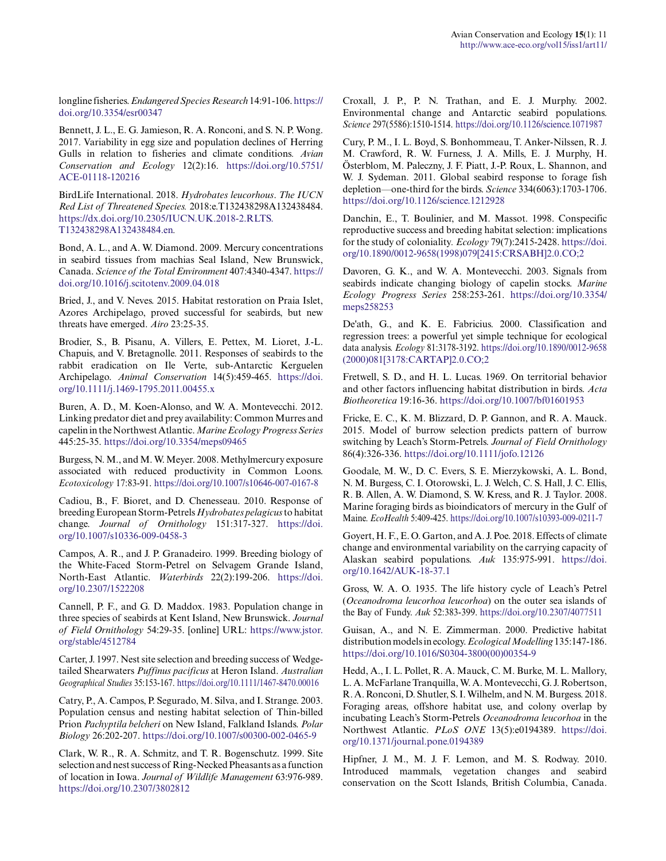longline fisheries. *Endangered Species Research* 14:91-106. [https://](https://doi.org/10.3354/esr00347) [doi.org/10.3354/esr00347](https://doi.org/10.3354/esr00347)

Bennett, J. L., E. G. Jamieson, R. A. Ronconi, and S. N. P. Wong. 2017. Variability in egg size and population declines of Herring Gulls in relation to fisheries and climate conditions*. Avian Conservation and Ecology* 12(2):16. [https://doi.org/10.5751/](https://doi.org/10.5751/ACE-01118-120216) [ACE-01118-120216](https://doi.org/10.5751/ACE-01118-120216) 

BirdLife International. 2018. *Hydrobates leucorhous*. *The IUCN Red List of Threatened Species.* 2018:e.T132438298A132438484. [https://dx.doi.org/10.2305/IUCN.UK.2018-2.RLTS.](https://dx.doi.org/10.2305/IUCN.UK.2018-2.RLTS.T132438298A132438484.en) [T132438298A132438484.en](https://dx.doi.org/10.2305/IUCN.UK.2018-2.RLTS.T132438298A132438484.en)*.*

Bond, A. L., and A. W. Diamond. 2009. Mercury concentrations in seabird tissues from machias Seal Island, New Brunswick, Canada. *Science of the Total Environment* 407:4340-4347. [https://](https://doi.org/10.1016/j.scitotenv.2009.04.018) [doi.org/10.1016/j.scitotenv.2009.04.018](https://doi.org/10.1016/j.scitotenv.2009.04.018) 

Bried, J., and V. Neves. 2015. Habitat restoration on Praia Islet, Azores Archipelago, proved successful for seabirds, but new threats have emerged. *Airo* 23:25-35.

Brodier, S., B. Pisanu, A. Villers, E. Pettex, M. Lioret, J.-L. Chapuis, and V. Bretagnolle. 2011. Responses of seabirds to the rabbit eradication on Ile Verte, sub-Antarctic Kerguelen Archipelago. *Animal Conservation* 14(5):459-465. [https://doi.](https://doi.org/10.1111/j.1469-1795.2011.00455.x) [org/10.1111/j.1469-1795.2011.00455.x](https://doi.org/10.1111/j.1469-1795.2011.00455.x)

Buren, A. D., M. Koen-Alonso, and W. A. Montevecchi. 2012. Linking predator diet and prey availability: Common Murres and capelin in the Northwest Atlantic. *Marine Ecology Progress Series* 445:25-35. <https://doi.org/10.3354/meps09465>

Burgess, N. M., and M. W. Meyer. 2008. Methylmercury exposure associated with reduced productivity in Common Loons. *Ecotoxicology* 17:83-91. <https://doi.org/10.1007/s10646-007-0167-8>

Cadiou, B., F. Bioret, and D. Chenesseau. 2010. Response of breeding European Storm-Petrels *Hydrobates pelagicus* to habitat change. *Journal of Ornithology* 151:317-327. [https://doi.](https://doi.org/10.1007/s10336-009-0458-3) [org/10.1007/s10336-009-0458-3](https://doi.org/10.1007/s10336-009-0458-3)

Campos, A. R., and J. P. Granadeiro. 1999. Breeding biology of the White-Faced Storm-Petrel on Selvagem Grande Island, North-East Atlantic. *Waterbirds* 22(2):199-206. [https://doi.](https://doi.org/10.2307/1522208) [org/10.2307/1522208](https://doi.org/10.2307/1522208) 

Cannell, P. F., and G. D. Maddox. 1983. Population change in three species of seabirds at Kent Island, New Brunswick. *Journal of Field Ornithology* 54:29-35. [online] URL: [https://www.jstor.](https://www.jstor.org/stable/4512784) [org/stable/4512784](https://www.jstor.org/stable/4512784)

Carter, J. 1997. Nest site selection and breeding success of Wedgetailed Shearwaters *Puffinus pacificus* at Heron Island. *Australian Geographical Studies* 35:153-167. <https://doi.org/10.1111/1467-8470.00016>

Catry, P., A. Campos, P. Segurado, M. Silva, and I. Strange. 2003. Population census and nesting habitat selection of Thin-billed Prion *Pachyptila belcheri* on New Island, Falkland Islands. *Polar Biology* 26:202-207.<https://doi.org/10.1007/s00300-002-0465-9>

Clark, W. R., R. A. Schmitz, and T. R. Bogenschutz. 1999. Site selection and nest success of Ring-Necked Pheasants as a function of location in Iowa. *Journal of Wildlife Management* 63:976-989. <https://doi.org/10.2307/3802812>

Croxall, J. P., P. N. Trathan, and E. J. Murphy. 2002. Environmental change and Antarctic seabird populations. *Science* 297(5586):1510-1514. <https://doi.org/10.1126/science.1071987>

Cury, P. M., I. L. Boyd, S. Bonhommeau, T. Anker-Nilssen, R. J. M. Crawford, R. W. Furness, J. A. Mills, E. J. Murphy, H. Österblom, M. Paleczny, J. F. Piatt, J.-P. Roux, L. Shannon, and W. J. Sydeman. 2011. Global seabird response to forage fish depletion—one-third for the birds. *Science* 334(6063):1703-1706. <https://doi.org/10.1126/science.1212928>

Danchin, E., T. Boulinier, and M. Massot. 1998. Conspecific reproductive success and breeding habitat selection: implications for the study of coloniality*. Ecology* 79(7):2415-2428. [https://doi.](https://doi.org/10.1890/0012-9658(1998)079[2415:CRSABH]2.0.CO;2) [org/10.1890/0012-9658\(1998\)079\[2415:CRSABH\]2.0.CO;2](https://doi.org/10.1890/0012-9658(1998)079[2415:CRSABH]2.0.CO;2) 

Davoren, G. K., and W. A. Montevecchi. 2003. Signals from seabirds indicate changing biology of capelin stocks. *Marine Ecology Progress Series* 258:253-261. [https://doi.org/10.3354/](https://doi.org/10.3354/meps258253) [meps258253](https://doi.org/10.3354/meps258253) 

De'ath, G., and K. E. Fabricius. 2000. Classification and regression trees: a powerful yet simple technique for ecological data analysis. *Ecology* 81:3178-3192. [https://doi.org/10.1890/0012-9658](https://doi.org/10.1890/0012-9658(2000)081[3178:CARTAP]2.0.CO;2) [\(2000\)081\[3178:CARTAP\]2.0.CO;2](https://doi.org/10.1890/0012-9658(2000)081[3178:CARTAP]2.0.CO;2)

Fretwell, S. D., and H. L. Lucas. 1969. On territorial behavior and other factors influencing habitat distribution in birds. *Acta Biotheoretica* 19:16-36.<https://doi.org/10.1007/bf01601953>

Fricke, E. C., K. M. Blizzard, D. P. Gannon, and R. A. Mauck. 2015. Model of burrow selection predicts pattern of burrow switching by Leach's Storm-Petrels. *Journal of Field Ornithology* 86(4):326-336. <https://doi.org/10.1111/jofo.12126>

Goodale, M. W., D. C. Evers, S. E. Mierzykowski, A. L. Bond, N. M. Burgess, C. I. Otorowski, L. J. Welch, C. S. Hall, J. C. Ellis, R. B. Allen, A. W. Diamond, S. W. Kress, and R. J. Taylor. 2008. Marine foraging birds as bioindicators of mercury in the Gulf of Maine. *EcoHealth* 5:409-425.<https://doi.org/10.1007/s10393-009-0211-7>

Goyert, H. F., E. O. Garton, and A. J. Poe. 2018. Effects of climate change and environmental variability on the carrying capacity of Alaskan seabird populations. *Auk* 135:975-991. [https://doi.](https://doi.org/10.1642/AUK-18-37.1) [org/10.1642/AUK-18-37.1](https://doi.org/10.1642/AUK-18-37.1)

Gross, W. A. O. 1935. The life history cycle of Leach's Petrel (*Oceanodroma leucorhoa leucorhoa*) on the outer sea islands of the Bay of Fundy. *Auk* 52:383-399.<https://doi.org/10.2307/4077511>

Guisan, A., and N. E. Zimmerman. 2000. Predictive habitat distribution models in ecology. *Ecological Modelling* 135:147-186. [https://doi.org/10.1016/S0304-3800\(00\)00354-9](https://doi.org/10.1016/S0304-3800(00)00354-9) 

Hedd, A., I. L. Pollet, R. A. Mauck, C. M. Burke, M. L. Mallory, L. A. McFarlane Tranquilla, W. A. Montevecchi, G. J. Robertson, R. A. Ronconi, D. Shutler, S. I. Wilhelm, and N. M. Burgess. 2018. Foraging areas, offshore habitat use, and colony overlap by incubating Leach's Storm-Petrels *Oceanodroma leucorhoa* in the Northwest Atlantic. *PLoS ONE* 13(5):e0194389. [https://doi.](https://doi.org/10.1371/journal.pone.0194389) [org/10.1371/journal.pone.0194389](https://doi.org/10.1371/journal.pone.0194389) 

Hipfner, J. M., M. J. F. Lemon, and M. S. Rodway. 2010. Introduced mammals, vegetation changes and seabird conservation on the Scott Islands, British Columbia, Canada.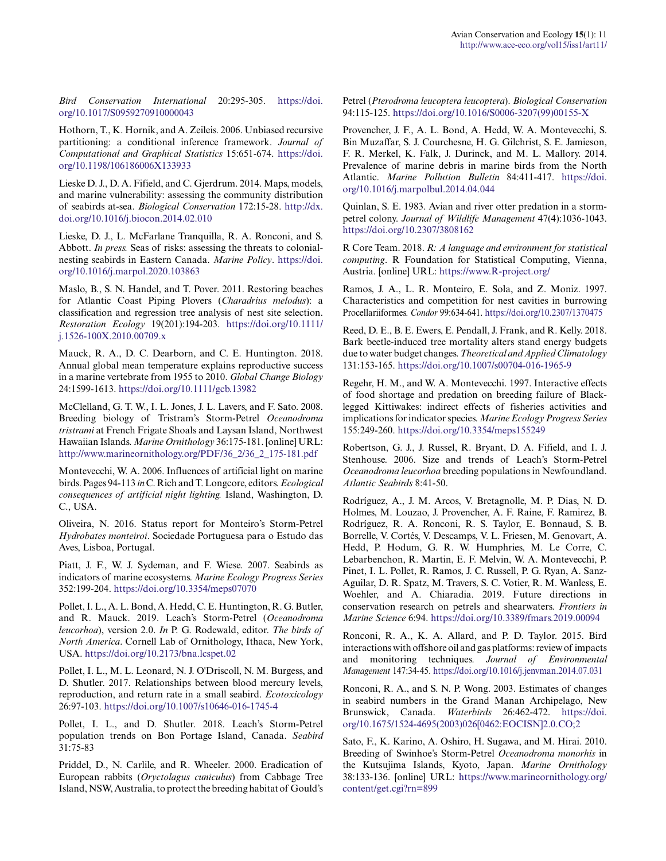*Bird Conservation International* 20:295-305. [https://doi.](https://doi.org/10.1017/S0959270910000043) [org/10.1017/S0959270910000043](https://doi.org/10.1017/S0959270910000043)

Hothorn, T., K. Hornik, and A. Zeileis. 2006. Unbiased recursive partitioning: a conditional inference framework. *Journal of Computational and Graphical Statistics* 15:651-674. [https://doi.](https://doi.org/10.1198/106186006X133933) [org/10.1198/106186006X133933](https://doi.org/10.1198/106186006X133933) 

Lieske D. J., D. A. Fifield, and C. Gjerdrum. 2014. Maps, models, and marine vulnerability: assessing the community distribution of seabirds at-sea. *Biological Conservation* 172:15-28. [http://dx.](http://dx.doi.org/10.1016/j.biocon.2014.02.010) [doi.org/10.1016/j.biocon.2014.02.010](http://dx.doi.org/10.1016/j.biocon.2014.02.010) 

Lieske, D. J., L. McFarlane Tranquilla, R. A. Ronconi, and S. Abbott. *In press.* Seas of risks: assessing the threats to colonialnesting seabirds in Eastern Canada. *Marine Policy*. [https://doi.](https://doi.org/10.1016/j.marpol.2020.103863) [org/10.1016/j.marpol.2020.103863](https://doi.org/10.1016/j.marpol.2020.103863) 

Maslo, B., S. N. Handel, and T. Pover. 2011. Restoring beaches for Atlantic Coast Piping Plovers (*Charadrius melodus*): a classification and regression tree analysis of nest site selection. *Restoration Ecology* 19(201):194-203. [https://doi.org/10.1111/](https://doi.org/10.1111/j.1526-100X.2010.00709.x) [j.1526-100X.2010.00709.x](https://doi.org/10.1111/j.1526-100X.2010.00709.x) 

Mauck, R. A., D. C. Dearborn, and C. E. Huntington. 2018. Annual global mean temperature explains reproductive success in a marine vertebrate from 1955 to 2010. *Global Change Biology* 24:1599-1613.<https://doi.org/10.1111/gcb.13982>

McClelland, G. T. W., I. L. Jones, J. L. Lavers, and F. Sato. 2008. Breeding biology of Tristram's Storm-Petrel *Oceanodroma tristrami* at French Frigate Shoals and Laysan Island, Northwest Hawaiian Islands. *Marine Ornithology* 36:175-181. [online] URL: [http://www.marineornithology.org/PDF/36\\_2/36\\_2\\_175-181.pdf](http://www.marineornithology.org/PDF/36_2/36_2_175-181.pdf)

Montevecchi, W. A. 2006. Influences of artificial light on marine birds. Pages 94-113 *in* C. Rich and T. Longcore, editors. *Ecological consequences of artificial night lighting.* Island, Washington, D. C., USA.

Oliveira, N. 2016. Status report for Monteiro's Storm-Petrel *Hydrobates monteiroi*. Sociedade Portuguesa para o Estudo das Aves, Lisboa, Portugal.

Piatt, J. F., W. J. Sydeman, and F. Wiese. 2007. Seabirds as indicators of marine ecosystems. *Marine Ecology Progress Series* 352:199-204. <https://doi.org/10.3354/meps07070>

Pollet, I. L., A. L. Bond, A. Hedd, C. E. Huntington, R. G. Butler, and R. Mauck. 2019. Leach's Storm-Petrel (*Oceanodroma leucorhoa*), version 2.0. *In* P. G. Rodewald, editor. *The birds of North America*. Cornell Lab of Ornithology, Ithaca, New York, USA.<https://doi.org/10.2173/bna.lcspet.02>

Pollet, I. L., M. L. Leonard, N. J. O'Driscoll, N. M. Burgess, and D. Shutler. 2017. Relationships between blood mercury levels, reproduction, and return rate in a small seabird. *Ecotoxicology* 26:97-103. <https://doi.org/10.1007/s10646-016-1745-4>

Pollet, I. L., and D. Shutler. 2018. Leach's Storm-Petrel population trends on Bon Portage Island, Canada. *Seabird* 31:75-83

Priddel, D., N. Carlile, and R. Wheeler. 2000. Eradication of European rabbits (*Oryctolagus cuniculus*) from Cabbage Tree Island, NSW, Australia, to protect the breeding habitat of Gould's Petrel (*Pterodroma leucoptera leucoptera*). *Biological Conservation* 94:115-125. [https://doi.org/10.1016/S0006-3207\(99\)00155-X](https://doi.org/10.1016/S0006-3207(99)00155-X)

Provencher, J. F., A. L. Bond, A. Hedd, W. A. Montevecchi, S. Bin Muzaffar, S. J. Courchesne, H. G. Gilchrist, S. E. Jamieson, F. R. Merkel, K. Falk, J. Durinck, and M. L. Mallory. 2014. Prevalence of marine debris in marine birds from the North Atlantic. *Marine Pollution Bulletin* 84:411-417. [https://doi.](https://doi.org/10.1016/j.marpolbul.2014.04.044) [org/10.1016/j.marpolbul.2014.04.044](https://doi.org/10.1016/j.marpolbul.2014.04.044) 

Quinlan, S. E. 1983. Avian and river otter predation in a stormpetrel colony. *Journal of Wildlife Management* 47(4):1036-1043. <https://doi.org/10.2307/3808162>

R Core Team. 2018. *R: A language and environment for statistical computing*. R Foundation for Statistical Computing, Vienna, Austria. [online] URL: <https://www.R-project.org/>

Ramos, J. A., L. R. Monteiro, E. Sola, and Z. Moniz. 1997. Characteristics and competition for nest cavities in burrowing Procellariiformes. *Condor* 99:634-641. <https://doi.org/10.2307/1370475>

Reed, D. E., B. E. Ewers, E. Pendall, J. Frank, and R. Kelly. 2018. Bark beetle-induced tree mortality alters stand energy budgets due to water budget changes. *Theoretical and Applied Climatology* 131:153-165. <https://doi.org/10.1007/s00704-016-1965-9>

Regehr, H. M., and W. A. Montevecchi. 1997. Interactive effects of food shortage and predation on breeding failure of Blacklegged Kittiwakes: indirect effects of fisheries activities and implications for indicator species. *Marine Ecology Progress Series* 155:249-260. <https://doi.org/10.3354/meps155249>

Robertson, G. J., J. Russel, R. Bryant, D. A. Fifield, and I. J. Stenhouse. 2006. Size and trends of Leach's Storm-Petrel *Oceanodroma leucorhoa* breeding populations in Newfoundland. *Atlantic Seabirds* 8:41-50.

Rodríguez, A., J. M. Arcos, V. Bretagnolle, M. P. Dias, N. D. Holmes, M. Louzao, J. Provencher, A. F. Raine, F. Ramirez, B. Rodríguez, R. A. Ronconi, R. S. Taylor, E. Bonnaud, S. B. Borrelle, V. Cortés, V. Descamps, V. L. Friesen, M. Genovart, A. Hedd, P. Hodum, G. R. W. Humphries, M. Le Corre, C. Lebarbenchon, R. Martin, E. F. Melvin, W. A. Montevecchi, P. Pinet, I. L. Pollet, R. Ramos, J. C. Russell, P. G. Ryan, A. Sanz-Aguilar, D. R. Spatz, M. Travers, S. C. Votier, R. M. Wanless, E. Woehler, and A. Chiaradia. 2019. Future directions in conservation research on petrels and shearwaters. *Frontiers in Marine Science* 6:94.<https://doi.org/10.3389/fmars.2019.00094>

Ronconi, R. A., K. A. Allard, and P. D. Taylor. 2015. Bird interactions with offshore oil and gas platforms: review of impacts and monitoring techniques. *Journal of Environmental Management* 147:34-45.<https://doi.org/10.1016/j.jenvman.2014.07.031>

Ronconi, R. A., and S. N. P. Wong. 2003. Estimates of changes in seabird numbers in the Grand Manan Archipelago, New Brunswick, Canada. *Waterbirds* 26:462-472. [https://doi.](https://doi.org/10.1675/1524-4695(2003)026[0462:EOCISN]2.0.CO;2) [org/10.1675/1524-4695\(2003\)026\[0462:EOCISN\]2.0.CO;2](https://doi.org/10.1675/1524-4695(2003)026[0462:EOCISN]2.0.CO;2)

Sato, F., K. Karino, A. Oshiro, H. Sugawa, and M. Hirai. 2010. Breeding of Swinhoe's Storm-Petrel *Oceanodroma monorhis* in the Kutsujima Islands, Kyoto, Japan. *Marine Ornithology* 38:133-136. [online] URL: [https://www.marineornithology.org/](https://www.marineornithology.org/content/get.cgi?rn=899) [content/get.cgi?rn=899](https://www.marineornithology.org/content/get.cgi?rn=899)